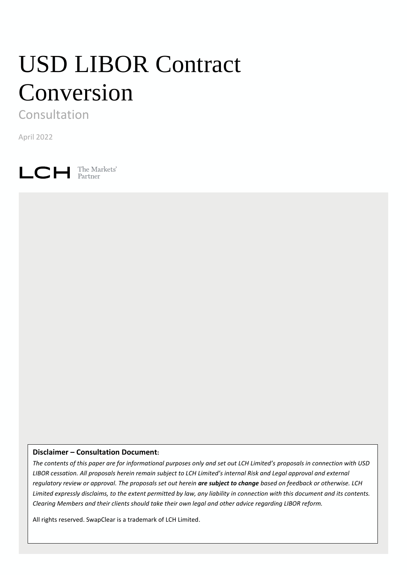# USD LIBOR Contract Conversion

Consultation

April 2022

 $L$   $C$   $H$  The Markets'

# **Disclaimer – Consultation Document:**

*The contents of this paper are for informational purposes only and set out LCH Limited's proposals in connection with USD LIBOR cessation. All proposals herein remain subject to LCH Limited's internal Risk and Legal approval and external regulatory review or approval. The proposals set out herein are subject to change based on feedback or otherwise. LCH Limited expressly disclaims, to the extent permitted by law, any liability in connection with this document and its contents. Clearing Members and their clients should take their own legal and other advice regarding LIBOR reform.* 

All rights reserved. SwapClear is a trademark of LCH Limited.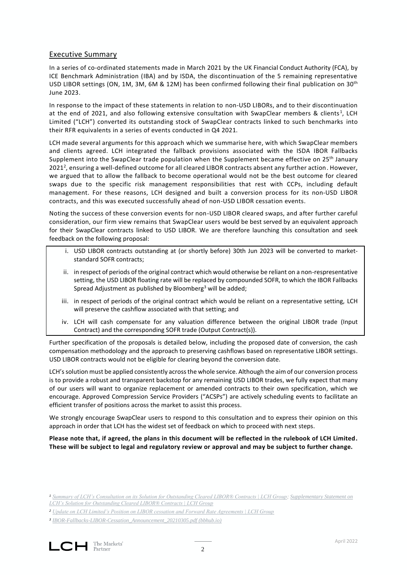## Executive Summary

In a series of co-ordinated statements made in March 2021 by the UK Financial Conduct Authority (FCA), by ICE Benchmark Administration (IBA) and by ISDA, the discontinuation of the 5 remaining representative USD LIBOR settings (ON, 1M, 3M, 6M & 12M) has been confirmed following their final publication on 30th June 2023.

In response to the impact of these statements in relation to non-USD LIBORs, and to their discontinuation at the end of 2021, and also following extensive consultation with SwapClear members & clients<sup>1</sup>, LCH Limited ("LCH") converted its outstanding stock of SwapClear contracts linked to such benchmarks into their RFR equivalents in a series of events conducted in Q4 2021.

LCH made several arguments for this approach which we summarise here, with which SwapClear members and clients agreed. LCH integrated the fallback provisions associated with the ISDA IBOR Fallbacks Supplement into the SwapClear trade population when the Supplement became effective on 25<sup>th</sup> January 2021<sup>2</sup>, ensuring a well-defined outcome for all cleared LIBOR contracts absent any further action. However, we argued that to allow the fallback to become operational would not be the best outcome for cleared swaps due to the specific risk management responsibilities that rest with CCPs, including default management. For these reasons, LCH designed and built a conversion process for its non-USD LIBOR contracts, and this was executed successfully ahead of non-USD LIBOR cessation events.

Noting the success of these conversion events for non-USD LIBOR cleared swaps, and after further careful consideration, our firm view remains that SwapClear users would be best served by an equivalent approach for their SwapClear contracts linked to USD LIBOR. We are therefore launching this consultation and seek feedback on the following proposal:

- i. USD LIBOR contracts outstanding at (or shortly before) 30th Jun 2023 will be converted to marketstandard SOFR contracts;
- ii. in respect of periods of the original contract which would otherwise be reliant on a non-respresentative setting, the USD LIBOR floating rate will be replaced by compounded SOFR, to which the IBOR Fallbacks Spread Adjustment as published by Bloomberg<sup>3</sup> will be added;
- iii. in respect of periods of the original contract which would be reliant on a representative setting, LCH will preserve the cashflow associated with that setting; and
- iv. LCH will cash compensate for any valuation difference between the original LIBOR trade (Input Contract) and the corresponding SOFR trade (Output Contract(s)).

Further specification of the proposals is detailed below, including the proposed date of conversion, the cash compensation methodology and the approach to preserving cashflows based on representative LIBOR settings. USD LIBOR contracts would not be eligible for clearing beyond the conversion date.

LCH's solution must be applied consistently across the whole service. Although the aim of our conversion process is to provide a robust and transparent backstop for any remaining USD LIBOR trades, we fully expect that many of our users will want to organize replacement or amended contracts to their own specification, which we encourage. Approved Compression Service Providers ("ACSPs") are actively scheduling events to facilitate an efficient transfer of positions across the market to assist this process.

We strongly encourage SwapClear users to respond to this consultation and to express their opinion on this approach in order that LCH has the widest set of feedback on which to proceed with next steps.

**Please note that, if agreed, the plans in this document will be reflected in the rulebook of LCH Limited. These will be subject to legal and regulatory review or approval and may be subject to further change.**

*<sup>1</sup> [Summary of LCH's Consultation on its Solution for Outstanding Cleared LIBOR® Contracts | LCH Group;](https://www.lch.com/membership/ltd-membership/ltd-member-updates/summary-lchs-consultation-its-solution-outstanding-0) [Supplementary Statement on](https://www.lch.com/membership/ltd-membership/ltd-member-updates/supplementary-statement-lchs-solution-outstanding)  [LCH's Solution for Outstanding Cleared LIBOR® Contracts | LCH Group](https://www.lch.com/membership/ltd-membership/ltd-member-updates/supplementary-statement-lchs-solution-outstanding)*

*<sup>2</sup> [Update on LCH Limited's Position on LIBOR cessation and Forward Rate Agreements | LCH Group](https://www.lch.com/membership/ltd-membership/ltd-member-updates/update-lch-limiteds-position-libor-cessation-and)*

*<sup>3</sup> [IBOR-Fallbacks-LIBOR-Cessation\\_Announcement\\_20210305.pdf \(bbhub.io\)](https://assets.bbhub.io/professional/sites/10/IBOR-Fallbacks-LIBOR-Cessation_Announcement_20210305.pdf)*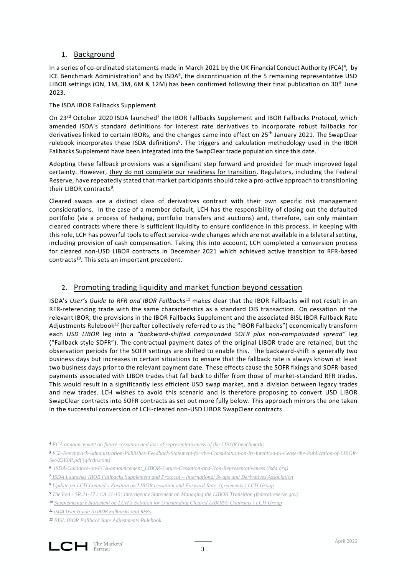## 1. Background

In a series of co-ordinated statements made in March 2021 by the UK Financial Conduct Authority (FCA)<sup>4</sup>, by ICE Benchmark Administration<sup>5</sup> and by ISDA<sup>6</sup>, the discontinuation of the 5 remaining representative USD LIBOR settings (ON, 1M, 3M, 6M & 12M) has been confirmed following their final publication on 30<sup>th</sup> June 2023.

## The ISDA IBOR Fallbacks Supplement

On 23<sup>rd</sup> October 2020 ISDA launched<sup>7</sup> the IBOR Fallbacks Supplement and IBOR Fallbacks Protocol, which amended ISDA's standard definitions for interest rate derivatives to incorporate robust fallbacks for derivatives linked to certain IBORs, and the changes came into effect on 25<sup>th</sup> January 2021. The SwapClear rulebook incorporates these ISDA definitions<sup>8</sup>. The triggers and calculation methodology used in the IBOR Fallbacks Supplement have been integrated into the SwapClear trade population since this date.

Adopting these fallback provisions was a significant step forward and provided for much improved legal certainty. However, they do not complete our readiness for transition. Regulators, including the Federal Reserve, have repeatedly stated that market participants should take a pro-active approach to transitioning their LIBOR contracts<sup>9</sup>.

Cleared swaps are a distinct class of derivatives contract with their own specific risk management considerations. In the case of a member default, LCH has the responsibility of closing out the defaulted portfolio (via a process of hedging, portfolio transfers and auctions) and, therefore, can only maintain cleared contracts where there is sufficient liquidity to ensure confidence in this process. In keeping with this role, LCH has powerful tools to effect service-wide changes which are not available in a bilateral setting, including provision of cash compensation. Taking this into account, LCH completed a conversion process for cleared non-USD LIBOR contracts in December 2021 which achieved active transition to RFR-based contracts<sup>10</sup>. This sets an important precedent.

# 2. Promoting trading liquidity and market function beyond cessation

ISDA's *User's Guide to RFR and IBOR Fallbacks*<sup>11</sup> makes clear that the IBOR Fallbacks will not result in an RFR-referencing trade with the same characteristics as a standard OIS transaction. On cessation of the relevant IBOR, the provisions in the IBOR Fallbacks Supplement and the associated BISL IBOR Fallback Rate Adjustments Rulebook<sup>12</sup> (hereafter collectively referred to as the "IBOR Fallbacks") economically transform each *USD LIBOR* leg into a *"backward-shifted compounded SOFR plus non-compounded spread"* leg ("Fallback-style SOFR"). The contractual payment dates of the original LIBOR trade are retained, but the observation periods for the SOFR settings are shifted to enable this. The backward-shift is generally two business days but increases in certain situations to ensure that the fallback rate is always known at least two business days prior to the relevant payment date. These effects cause the SOFR fixings and SOFR-based payments associated with LIBOR trades that fall back to differ from those of market-standard RFR trades. This would result in a significantly less efficient USD swap market, and a division between legacy trades and new trades. LCH wishes to avoid this scenario and is therefore proposing to convert USD LIBOR SwapClear contracts into SOFR contracts as set out more fully below. This approach mirrors the one taken in the successful conversion of LCH-cleared non-USD LIBOR SwapClear contracts.

*<sup>4</sup> [FCA announcement on future cessation and loss of representativeness of the LIBOR benchmarks](https://www.fca.org.uk/publication/documents/future-cessation-loss-representativeness-libor-benchmarks.pdf)*

*<sup>5</sup> [ICE-Benchmark-Administration-Publishes-Feedback-Statement-for-the-Consultation-on-Its-Intention-to-Cease-the-Publication-of-LIBOR-](https://s2.q4cdn.com/154085107/files/doc_news/ICE-Benchmark-Administration-Publishes-Feedback-Statement-for-the-Consultation-on-Its-Intention-to-Cease-the-Publication-of-LIBOR-Set-Z2E0P.pdf)[Set-Z2E0P.pdf \(q4cdn.com\)](https://s2.q4cdn.com/154085107/files/doc_news/ICE-Benchmark-Administration-Publishes-Feedback-Statement-for-the-Consultation-on-Its-Intention-to-Cease-the-Publication-of-LIBOR-Set-Z2E0P.pdf)*

*<sup>6</sup> [ISDA-Guidance-on-FCA-announcement\\_LIBOR-Future-Cessation-and-Non-Representativeness \(isda.org\)](https://www.isda.org/a/dIFTE/ISDA-Guidance-on-FCA-announcement_LIBOR-Future-Cessation-and-Non-Representativeness-April-Update.pdf)*

*<sup>7</sup> [ISDA Launches IBOR Fallbacks Supplement and Protocol –](https://www.isda.org/2020/10/23/isda-launches-ibor-fallbacks-supplement-and-protocol/) International Swaps and Derivatives Association*

*<sup>8</sup> [Update on LCH Limited's Position on LIBOR cessation and Forward Rate Agreements | LCH Group](https://www.lch.com/membership/ltd-membership/ltd-member-updates/update-lch-limiteds-position-libor-cessation-and)*

*<sup>9</sup> The Fed - [SR 21-17 / CA 21-15: Interagency Statement on Managing the LIBOR Transition \(federalreserve.gov\)](https://www.federalreserve.gov/supervisionreg/srletters/sr2117.htm)*

*<sup>10</sup> [Supplementary Statement on LCH's Solution for Outstanding Cleared LIBOR® Contracts | LCH Group](https://www.lch.com/membership/ltd-membership/ltd-member-updates/supplementary-statement-lchs-solution-outstanding)*

*<sup>11</sup> [ISDA User Guide to IBOR Fallbacks and RFRs](http://assets.isda.org/media/3062e7b4/c133e67f-pdf/)*

*<sup>12</sup> [BISL IBOR Fallback Rate Adjustments Rulebook](https://assets.isda.org/media/34b2ba47/c5347611-pdf/)*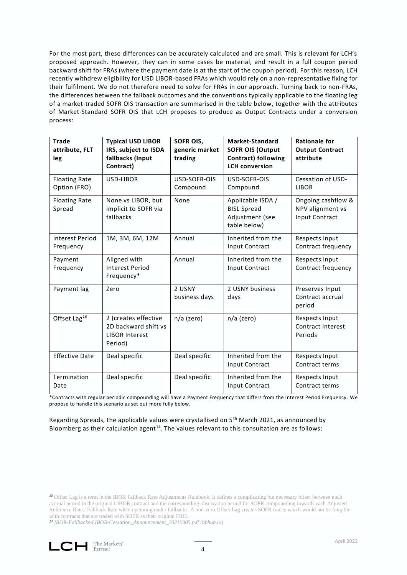For the most part, these differences can be accurately calculated and are small. This is relevant for LCH's proposed approach. However, they can in some cases be material, and result in a full coupon period backward shift for FRAs (where the payment date is at the start of the coupon period). For this reason, LCH recently withdrew eligibility for USD LIBOR-based FRAs which would rely on a non-representative fixing for their fulfilment. We do not therefore need to solve for FRAs in our approach. Turning back to non-FRAs, the differences between the fallback outcomes and the conventions typically applicable to the floating leg of a market-traded SOFR OIS transaction are summarised in the table below, together with the attributes of Market-Standard SOFR OIS that LCH proposes to produce as Output Contracts under a conversion process:

| <b>Trade</b><br>attribute, FLT<br>leg | <b>Typical USD LIBOR</b><br>IRS, subject to ISDA<br>fallbacks (Input<br>Contract) | SOFR OIS,<br>generic market<br>trading | Market-Standard<br><b>SOFR OIS (Output</b><br><b>Contract) following</b><br><b>LCH</b> conversion | <b>Rationale for</b><br><b>Output Contract</b><br>attribute     |
|---------------------------------------|-----------------------------------------------------------------------------------|----------------------------------------|---------------------------------------------------------------------------------------------------|-----------------------------------------------------------------|
| <b>Floating Rate</b><br>Option (FRO)  | USD-LIBOR                                                                         | USD-SOFR-OIS<br>Compound               | USD-SOFR-OIS<br>Compound                                                                          | Cessation of USD-<br><b>LIBOR</b>                               |
| <b>Floating Rate</b><br>Spread        | None vs LIBOR, but<br>implicit to SOFR via<br>fallbacks                           | None                                   | Applicable ISDA /<br><b>BISL Spread</b><br>Adjustment (see<br>table below)                        | Ongoing cashflow &<br>NPV alignment vs<br><b>Input Contract</b> |
| <b>Interest Period</b><br>Frequency   | 1M, 3M, 6M, 12M                                                                   | Annual                                 | Inherited from the<br>Input Contract                                                              | Respects Input<br>Contract frequency                            |
| Payment<br>Frequency                  | Aligned with<br><b>Interest Period</b><br>Frequency*                              | Annual                                 | Inherited from the<br>Input Contract                                                              | Respects Input<br>Contract frequency                            |
| Payment lag                           | Zero                                                                              | 2 USNY<br>business days                | 2 USNY business<br>days                                                                           | Preserves Input<br>Contract accrual<br>period                   |
| Offset Lag <sup>13</sup>              | 2 (creates effective<br>2D backward shift vs<br><b>LIBOR Interest</b><br>Period)  | n/a (zero)                             | n/a (zero)                                                                                        | Respects Input<br>Contract Interest<br>Periods                  |
| <b>Effective Date</b>                 | Deal specific                                                                     | Deal specific                          | Inherited from the<br>Input Contract                                                              | Respects Input<br>Contract terms                                |
| Termination<br>Date                   | Deal specific                                                                     | Deal specific                          | Inherited from the<br>Input Contract                                                              | Respects Input<br>Contract terms                                |

\*Contracts with regular periodic compounding will have a Payment Frequency that differs from the Interest Period Frequency . We propose to handle this scenario as set out more fully below.

Regarding Spreads, the applicable values were crystallised on  $5<sup>th</sup>$  March 2021, as announced by Bloomberg as their calculation agent<sup>14</sup>. The values relevant to this consultation are as follows:

*<sup>14</sup> [IBOR-Fallbacks-LIBOR-Cessation\\_Announcement\\_20210305.pdf \(bbhub.io\)](https://assets.bbhub.io/professional/sites/10/IBOR-Fallbacks-LIBOR-Cessation_Announcement_20210305.pdf)*

4

*<sup>13</sup>* Offset Lag is a term in the IBOR Fallback Rate Adjustments Rulebook. It defines a complicating but necessary offset between each accrual period in the original LIBOR contract and the corresponding observation period for SOFR compounding towards each Adjusted Reference Rate / Fallback Rate when operating under fallbacks. A non-zero Offset Lag creates SOFR trades which would not be fungible with contracts that are traded with SOFR as their original FRO.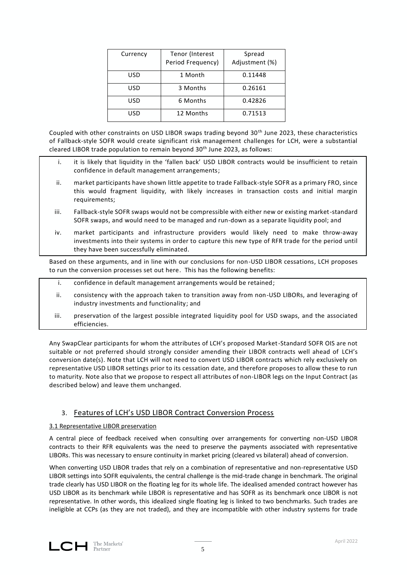| Currency | Tenor (Interest<br>Period Frequency) | Spread<br>Adjustment (%) |
|----------|--------------------------------------|--------------------------|
| USD      | 1 Month                              | 0.11448                  |
| USD      | 3 Months                             | 0.26161                  |
| USD      | 6 Months                             | 0.42826                  |
| USD      | 12 Months                            | 0.71513                  |

Coupled with other constraints on USD LIBOR swaps trading beyond 30th June 2023, these characteristics of Fallback-style SOFR would create significant risk management challenges for LCH, were a substantial cleared LIBOR trade population to remain beyond 30<sup>th</sup> June 2023, as follows:

- i. it is likely that liquidity in the 'fallen back' USD LIBOR contracts would be insufficient to retain confidence in default management arrangements;
- ii. market participants have shown little appetite to trade Fallback-style SOFR as a primary FRO, since this would fragment liquidity, with likely increases in transaction costs and initial margin requirements;
- iii. Fallback-style SOFR swaps would not be compressible with either new or existing market-standard SOFR swaps, and would need to be managed and run-down as a separate liquidity pool; and
- iv. market participants and infrastructure providers would likely need to make throw-away investments into their systems in order to capture this new type of RFR trade for the period until they have been successfully eliminated.

Based on these arguments, and in line with our conclusions for non-USD LIBOR cessations, LCH proposes to run the conversion processes set out here. This has the following benefits:

- i. confidence in default management arrangements would be retained;
- ii. consistency with the approach taken to transition away from non-USD LIBORs, and leveraging of industry investments and functionality; and
- iii. preservation of the largest possible integrated liquidity pool for USD swaps, and the associated efficiencies.

Any SwapClear participants for whom the attributes of LCH's proposed Market-Standard SOFR OIS are not suitable or not preferred should strongly consider amending their LIBOR contracts well ahead of LCH's conversion date(s). Note that LCH will not need to convert USD LIBOR contracts which rely exclusively on representative USD LIBOR settings prior to its cessation date, and therefore proposes to allow these to run to maturity. Note also that we propose to respect all attributes of non-LIBOR legs on the Input Contract (as described below) and leave them unchanged.

## 3. Features of LCH's USD LIBOR Contract Conversion Process

#### 3.1 Representative LIBOR preservation

A central piece of feedback received when consulting over arrangements for converting non-USD LIBOR contracts to their RFR equivalents was the need to preserve the payments associated with representative LIBORs. This was necessary to ensure continuity in market pricing (cleared vs bilateral) ahead of conversion.

When converting USD LIBOR trades that rely on a combination of representative and non-representative USD LIBOR settings into SOFR equivalents, the central challenge is the mid-trade change in benchmark. The original trade clearly has USD LIBOR on the floating leg for its whole life. The idealised amended contract however has USD LIBOR as its benchmark while LIBOR is representative and has SOFR as its benchmark once LIBOR is not representative. In other words, this idealized single floating leg is linked to two benchmarks. Such trades are ineligible at CCPs (as they are not traded), and they are incompatible with other industry systems for trade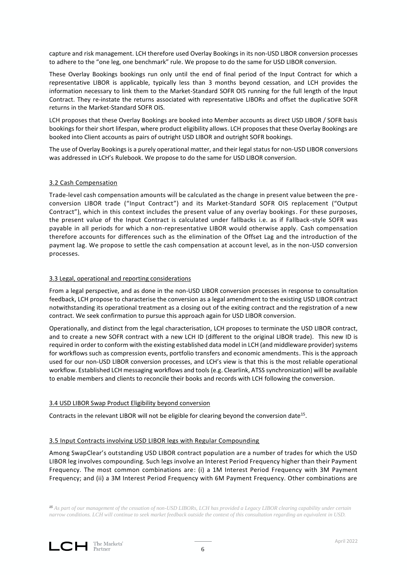capture and risk management. LCH therefore used Overlay Bookings in its non-USD LIBOR conversion processes to adhere to the "one leg, one benchmark" rule. We propose to do the same for USD LIBOR conversion.

These Overlay Bookings bookings run only until the end of final period of the Input Contract for which a representative LIBOR is applicable, typically less than 3 months beyond cessation, and LCH provides the information necessary to link them to the Market-Standard SOFR OIS running for the full length of the Input Contract. They re-instate the returns associated with representative LIBORs and offset the duplicative SOFR returns in the Market-Standard SOFR OIS.

LCH proposes that these Overlay Bookings are booked into Member accounts as direct USD LIBOR / SOFR basis bookings for their short lifespan, where product eligibility allows. LCH proposes that these Overlay Bookings are booked into Client accounts as pairs of outright USD LIBOR and outright SOFR bookings.

The use of Overlay Bookings is a purely operational matter, and their legal status for non-USD LIBOR conversions was addressed in LCH's Rulebook. We propose to do the same for USD LIBOR conversion.

#### 3.2 Cash Compensation

Trade-level cash compensation amounts will be calculated as the change in present value between the preconversion LIBOR trade ("Input Contract") and its Market-Standard SOFR OIS replacement ("Output Contract"), which in this context includes the present value of any overlay bookings. For these purposes, the present value of the Input Contract is calculated under fallbacks i.e. as if Fallback -style SOFR was payable in all periods for which a non-representative LIBOR would otherwise apply. Cash compensation therefore accounts for differences such as the elimination of the Offset Lag and the introduction of the payment lag. We propose to settle the cash compensation at account level, as in the non-USD conversion processes.

#### 3.3 Legal, operational and reporting considerations

From a legal perspective, and as done in the non-USD LIBOR conversion processes in response to consultation feedback, LCH propose to characterise the conversion as a legal amendment to the existing USD LIBOR contract notwithstanding its operational treatment as a closing out of the exiting contract and the registration of a new contract. We seek confirmation to pursue this approach again for USD LIBOR conversion.

Operationally, and distinct from the legal characterisation, LCH proposes to terminate the USD LIBOR contract, and to create a new SOFR contract with a new LCH ID (different to the original LIBOR trade). This new ID is required in order to conform with the existing established data model in LCH (and middleware provider) systems for workflows such as compression events, portfolio transfers and economic amendments. This is the approach used for our non-USD LIBOR conversion processes, and LCH's view is that this is the most reliable operational workflow. Established LCH messaging workflows and tools (e.g. Clearlink, ATSS synchronization) will be available to enable members and clients to reconcile their books and records with LCH following the conversion.

#### 3.4 USD LIBOR Swap Product Eligibility beyond conversion

Contracts in the relevant LIBOR will not be eligible for clearing beyond the conversion date<sup>15</sup>.

#### 3.5 Input Contracts involving USD LIBOR legs with Regular Compounding

Among SwapClear's outstanding USD LIBOR contract population are a number of trades for which the USD LIBOR leg involves compounding. Such legs involve an Interest Period Frequency higher than their Payment Frequency. The most common combinations are: (i) a 1M Interest Period Frequency with 3M Payment Frequency; and (ii) a 3M Interest Period Frequency with 6M Payment Frequency. Other combinations are

*<sup>15</sup> As part of our management of the cessation of non-USD LIBORs, LCH has provided a Legacy LIBOR clearing capability under certain narrow conditions. LCH will continue to seek market feedback outside the context of this consultation regarding an equivalent in USD.*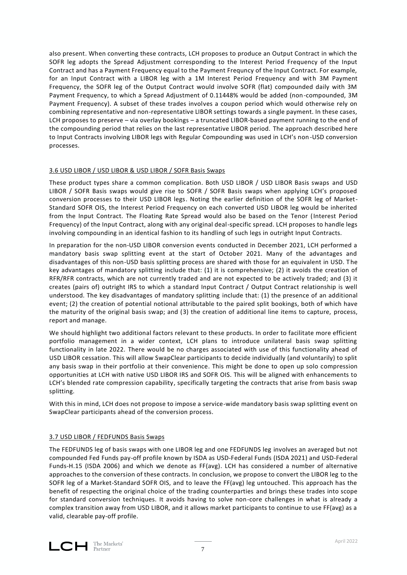also present. When converting these contracts, LCH proposes to produce an Output Contract in which the SOFR leg adopts the Spread Adjustment corresponding to the Interest Period Frequency of the Input Contract and has a Payment Frequency equal to the Payment Frequncy of the Input Contract. For example, for an Input Contract with a LIBOR leg with a 1M Interest Period Frequency and with 3M Payment Frequency, the SOFR leg of the Output Contract would involve SOFR (flat) compounded daily with 3M Payment Frequency, to which a Spread Adjustment of 0.11448% would be added (non-compounded, 3M Payment Frequency). A subset of these trades involves a coupon period which would otherwise rely on combining representative and non-representative LIBOR settings towards a single payment. In these cases, LCH proposes to preserve – via overlay bookings – a truncated LIBOR-based payment running to the end of the compounding period that relies on the last representative LIBOR period. The approach described here to Input Contracts involving LIBOR legs with Regular Compounding was used in LCH's non-USD conversion processes.

## 3.6 USD LIBOR / USD LIBOR & USD LIBOR / SOFR Basis Swaps

These product types share a common complication. Both USD LIBOR / USD LIBOR Basis swaps and USD LIBOR / SOFR Basis swaps would give rise to SOFR / SOFR Basis swaps when applying LCH's proposed conversion processes to their USD LIBOR legs. Noting the earlier definition of the SOFR leg of Market-Standard SOFR OIS, the Interest Period Frequency on each converted USD LIBOR leg would be inherited from the Input Contract. The Floating Rate Spread would also be based on the Tenor (Interest Period Frequency) of the Input Contract, along with any original deal-specific spread. LCH proposes to handle legs involving compounding in an identical fashion to its handling of such legs in outright Input Contracts.

In preparation for the non-USD LIBOR conversion events conducted in December 2021, LCH performed a mandatory basis swap splitting event at the start of October 2021. Many of the advantages and disadvantages of this non-USD basis splitting process are shared with those for an equivalent in USD. The key advantages of mandatory splitting include that: (1) it is comprehensive; (2) it avoids the creation of RFR/RFR contracts, which are not currently traded and are not expected to be actively traded; and (3) it creates (pairs of) outright IRS to which a standard Input Contract / Output Contract relationship is well understood. The key disadvantages of mandatory splitting include that: (1) the presence of an additional event; (2) the creation of potential notional attributable to the paired split bookings, both of which have the maturity of the original basis swap; and (3) the creation of additional line items to capture, process, report and manage.

We should highlight two additional factors relevant to these products. In order to facilitate more efficient portfolio management in a wider context, LCH plans to introduce unilateral basis swap splitting functionality in late 2022. There would be no charges associated with use of this functionality ahead of USD LIBOR cessation. This will allow SwapClear participants to decide individually (and voluntarily) to split any basis swap in their portfolio at their convenience. This might be done to open up solo compression opportunities at LCH with native USD LIBOR IRS and SOFR OIS. This will be aligned with enhancements to LCH's blended rate compression capability, specifically targeting the contracts that arise from basis swap splitting.

With this in mind, LCH does not propose to impose a service-wide mandatory basis swap splitting event on SwapClear participants ahead of the conversion process.

#### 3.7 USD LIBOR / FEDFUNDS Basis Swaps

The FEDFUNDS leg of basis swaps with one LIBOR leg and one FEDFUNDS leg involves an averaged but not compounded Fed Funds pay-off profile known by ISDA as USD-Federal Funds (ISDA 2021) and USD-Federal Funds-H.15 (ISDA 2006) and which we denote as FF(avg). LCH has considered a number of alternative approaches to the conversion of these contracts. In conclusion, we propose to convert the LIBOR leg to the SOFR leg of a Market-Standard SOFR OIS, and to leave the FF(avg) leg untouched. This approach has the benefit of respecting the original choice of the trading counterparties and brings these trades into scope for standard conversion techniques. It avoids having to solve non-core challenges in what is already a complex transition away from USD LIBOR, and it allows market participants to continue to use FF(avg) as a valid, clearable pay-off profile.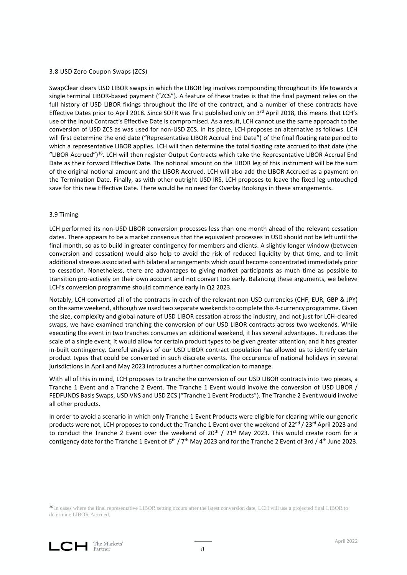#### 3.8 USD Zero Coupon Swaps (ZCS)

SwapClear clears USD LIBOR swaps in which the LIBOR leg involves compounding throughout its life towards a single terminal LIBOR-based payment ("ZCS"). A feature of these trades is that the final payment relies on the full history of USD LIBOR fixings throughout the life of the contract, and a number of these contracts have Effective Dates prior to April 2018. Since SOFR was first published only on  $3^{rd}$  April 2018, this means that LCH's use of the Input Contract's Effective Date is compromised. As a result, LCH cannot use the same approach to the conversion of USD ZCS as was used for non-USD ZCS. In its place, LCH proposes an alternative as follows. LCH will first determine the end date ("Representative LIBOR Accrual End Date") of the final floating rate period to which a representative LIBOR applies. LCH will then determine the total floating rate accrued to that date (the "LIBOR Accrued")<sup>16</sup>. LCH will then register Output Contracts which take the Representative LIBOR Accrual End Date as their forward Effective Date. The notional amount on the LIBOR leg of this instrument will be the sum of the original notional amount and the LIBOR Accrued. LCH will also add the LIBOR Accrued as a payment on the Termination Date. Finally, as with other outright USD IRS, LCH proposes to leave the fixed leg untouched save for this new Effective Date. There would be no need for Overlay Bookings in these arrangements.

#### 3.9 Timing

LCH performed its non-USD LIBOR conversion processes less than one month ahead of the relevant cessation dates. There appears to be a market consensus that the equivalent processes in USD should not be left until the final month, so as to build in greater contingency for members and clients. A slightly longer window (between conversion and cessation) would also help to avoid the risk of reduced liquidity by that time, and to limit additional stresses associated with bilateral arrangements which could become concentrated immediately prior to cessation. Nonetheless, there are advantages to giving market participants as much time as possible to transition pro-actively on their own account and not convert too early. Balancing these arguments, we believe LCH's conversion programme should commence early in Q2 2023.

Notably, LCH converted all of the contracts in each of the relevant non-USD currencies (CHF, EUR, GBP & JPY) on the same weekend, although we used two separate weekends to complete this 4-currency programme. Given the size, complexity and global nature of USD LIBOR cessation across the industry, and not just for LCH-cleared swaps, we have examined tranching the conversion of our USD LIBOR contracts across two weekends. While executing the event in two tranches consumes an additional weekend, it has several advantages. It reduces the scale of a single event; it would allow for certain product types to be given greater attention; and it has greater in-built contingency. Careful analysis of our USD LIBOR contract population has allowed us to identify certain product types that could be converted in such discrete events. The occurence of national holidays in several jurisdictions in April and May 2023 introduces a further complication to manage.

With all of this in mind, LCH proposes to tranche the conversion of our USD LIBOR contracts into two pieces, a Tranche 1 Event and a Tranche 2 Event. The Tranche 1 Event would involve the conversion of USD LIBOR / FEDFUNDS Basis Swaps, USD VNS and USD ZCS ("Tranche 1 Event Products"). The Tranche 2 Event would involve all other products.

In order to avoid a scenario in which only Tranche 1 Event Products were eligible for clearing while our generic products were not, LCH proposes to conduct the Tranche 1 Event over the weekend of 22<sup>nd</sup> / 23<sup>rd</sup> April 2023 and to conduct the Tranche 2 Event over the weekend of  $20^{th}$  /  $21^{st}$  May 2023. This would create room for a contigency date for the Tranche 1 Event of  $6<sup>th</sup> / 7<sup>th</sup>$  May 2023 and for the Tranche 2 Event of 3rd / 4<sup>th</sup> June 2023.

*<sup>16</sup>* In cases where the final representative LIBOR setting occurs after the latest conversion date, LCH will use a projected final LIBOR to determine LIBOR Accrued.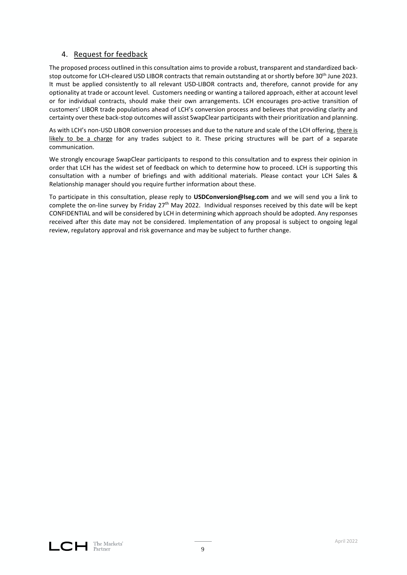# 4. Request for feedback

The proposed process outlined in this consultation aims to provide a robust, transparent and standardized backstop outcome for LCH-cleared USD LIBOR contracts that remain outstanding at or shortly before 30<sup>th</sup> June 2023. It must be applied consistently to all relevant USD-LIBOR contracts and, therefore, cannot provide for any optionality at trade or account level. Customers needing or wanting a tailored approach, either at account level or for individual contracts, should make their own arrangements. LCH encourages pro-active transition of customers' LIBOR trade populations ahead of LCH's conversion process and believes that providing clarity and certainty over these back-stop outcomes will assist SwapClear participants with their prioritization and planning.

As with LCH's non-USD LIBOR conversion processes and due to the nature and scale of the LCH offering, there is likely to be a charge for any trades subject to it. These pricing structures will be part of a separate communication.

We strongly encourage SwapClear participants to respond to this consultation and to express their opinion in order that LCH has the widest set of feedback on which to determine how to proceed. LCH is supporting this consultation with a number of briefings and with additional materials. Please contact your LCH Sales & Relationship manager should you require further information about these.

To participate in this consultation, please reply to **USDConversion@lseg.com** and we will send you a link to complete the on-line survey by Friday  $27<sup>th</sup>$  May 2022. Individual responses received by this date will be kept CONFIDENTIAL and will be considered by LCH in determining which approach should be adopted. Any responses received after this date may not be considered. Implementation of any proposal is subject to ongoing legal review, regulatory approval and risk governance and may be subject to further change.